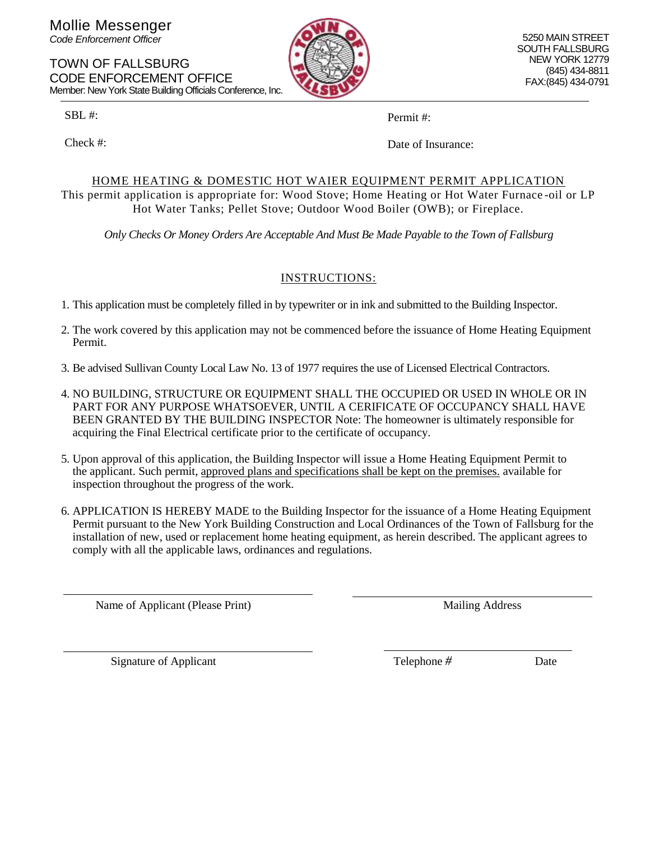Mollie Messenger *Code Enforcement Officer*

TOWN OF FALLSBURG CODE ENFORCEMENT OFFICE Member: New York State Building Officials Conference, Inc.

SBL #:

Check #:

Permit #:

Date of Insurance:

#### HOME HEATING & DOMESTIC HOT WAIER EQUIPMENT PERMIT APPLICATION This permit application is appropriate for: Wood Stove; Home Heating or Hot Water Furnace -oil or LP Hot Water Tanks; Pellet Stove; Outdoor Wood Boiler (OWB); or Fireplace.

*Only Checks Or Money Orders Are Acceptable And Must Be Made Payable to the Town of Fallsburg*

## INSTRUCTIONS:

1. This application must be completely filled in by typewriter or in ink and submitted to the Building Inspector.

- 2. The work covered by this application may not be commenced before the issuance of Home Heating Equipment Permit.
- 3. Be advised Sullivan County Local Law No. 13 of 1977 requires the use of Licensed Electrical Contractors.
- 4. NO BUILDING, STRUCTURE OR EQUIPMENT SHALL THE OCCUPIED OR USED IN WHOLE OR IN PART FOR ANY PURPOSE WHATSOEVER, UNTIL A CERIFICATE OF OCCUPANCY SHALL HAVE BEEN GRANTED BY THE BUILDING INSPECTOR Note: The homeowner is ultimately responsible for acquiring the Final Electrical certificate prior to the certificate of occupancy.
- 5. Upon approval of this application, the Building Inspector will issue a Home Heating Equipment Permit to the applicant. Such permit, approved plans and specifications shall be kept on the premises. available for inspection throughout the progress of the work.
- 6. APPLICATION IS HEREBY MADE to the Building Inspector for the issuance of a Home Heating Equipment Permit pursuant to the New York Building Construction and Local Ordinances of the Town of Fallsburg for the installation of new, used or replacement home heating equipment, as herein described. The applicant agrees to comply with all the applicable laws, ordinances and regulations.

Name of Applicant (Please Print) Mailing Address

Signature of Applicant Date Telephone *#* Date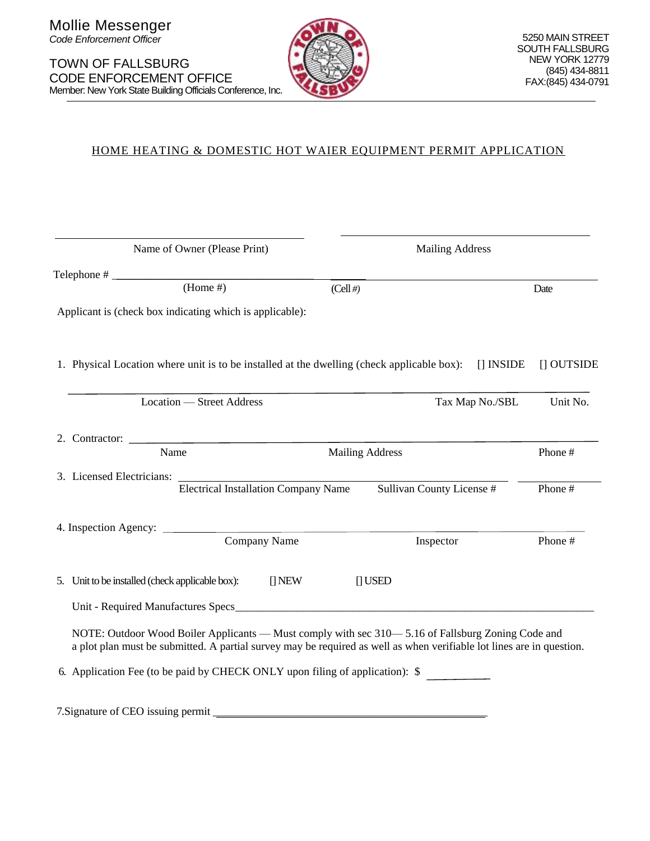

## HOME HEATING & DOMESTIC HOT WAIER EQUIPMENT PERMIT APPLICATION

| Name of Owner (Please Print) |                                                                                                                                                                                                                            |             | <b>Mailing Address</b>    |                 |                 |
|------------------------------|----------------------------------------------------------------------------------------------------------------------------------------------------------------------------------------------------------------------------|-------------|---------------------------|-----------------|-----------------|
|                              | Telephone $\#$ (Home $\#$ )                                                                                                                                                                                                | $(Cell \#)$ |                           |                 | Date            |
|                              | Applicant is (check box indicating which is applicable):                                                                                                                                                                   |             |                           |                 |                 |
|                              | 1. Physical Location where unit is to be installed at the dwelling (check applicable box):                                                                                                                                 |             |                           | $\prod$ INSIDE  | $\prod$ OUTSIDE |
|                              | Location — Street Address                                                                                                                                                                                                  |             |                           | Tax Map No./SBL | Unit No.        |
|                              | 2. Contractor:<br>Name                                                                                                                                                                                                     |             | <b>Mailing Address</b>    |                 | Phone #         |
|                              | 3. Licensed Electricians:<br><b>Electrical Installation Company Name</b>                                                                                                                                                   |             | Sullivan County License # |                 | Phone #         |
|                              | Company Name                                                                                                                                                                                                               |             | Inspector                 |                 | Phone #         |
|                              | 5. Unit to be installed (check applicable box):<br>$\prod$ NEW                                                                                                                                                             |             | $\bigcap$ USED            |                 |                 |
|                              | NOTE: Outdoor Wood Boiler Applicants — Must comply with sec 310—5.16 of Fallsburg Zoning Code and<br>a plot plan must be submitted. A partial survey may be required as well as when verifiable lot lines are in question. |             |                           |                 |                 |
|                              | 6. Application Fee (to be paid by CHECK ONLY upon filing of application): \$                                                                                                                                               |             |                           |                 |                 |
|                              | 7. Signature of CEO issuing permit                                                                                                                                                                                         |             |                           |                 |                 |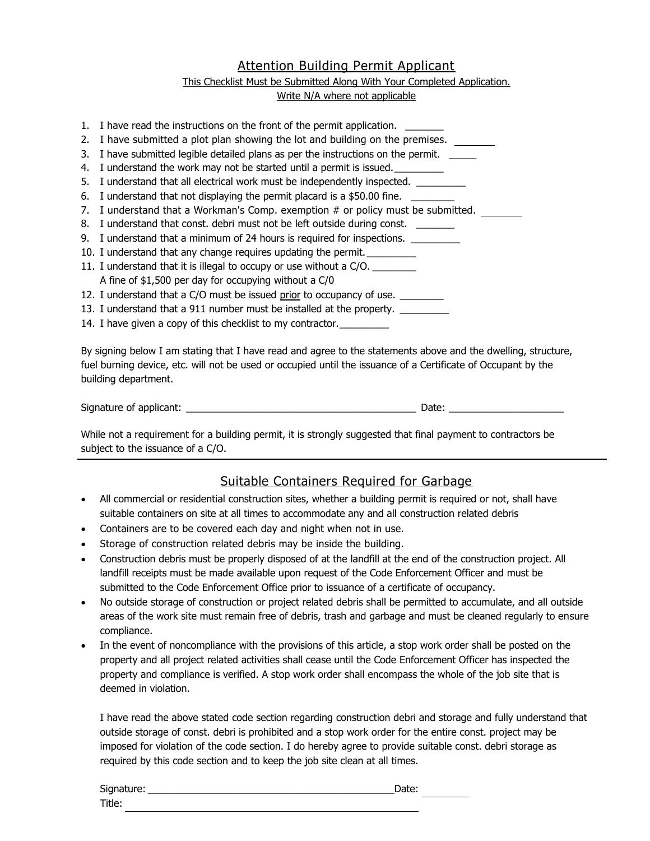## Attention Building Permit Applicant

#### This Checklist Must be Submitted Along With Your Completed Application. Write N/A where not applicable

1. I have read the instructions on the front of the permit application. 2. I have submitted a plot plan showing the lot and building on the premises. \_\_\_\_\_\_\_ 3. I have submitted legible detailed plans as per the instructions on the permit. 4. I understand the work may not be started until a permit is issued. 5. I understand that all electrical work must be independently inspected. \_\_\_\_\_\_\_\_\_ 6. I understand that not displaying the permit placard is a \$50.00 fine. 7. I understand that a Workman's Comp. exemption # or policy must be submitted. 8. I understand that const. debri must not be left outside during const. 9. I understand that a minimum of 24 hours is required for inspections. \_\_\_\_\_\_\_\_ 10. I understand that any change requires updating the permit. 11. I understand that it is illegal to occupy or use without a C/O. A fine of \$1,500 per day for occupying without a C/0 12. I understand that a C/O must be issued prior to occupancy of use. 13. I understand that a 911 number must be installed at the property. \_\_\_\_\_\_\_\_\_\_ 14. I have given a copy of this checklist to my contractor.

By signing below I am stating that I have read and agree to the statements above and the dwelling, structure, fuel burning device, etc. will not be used or occupied until the issuance of a Certificate of Occupant by the building department.

Signature of applicant: \_\_\_\_\_\_\_\_\_\_\_\_\_\_\_\_\_\_\_\_\_\_\_\_\_\_\_\_\_\_\_\_\_\_\_\_\_\_\_\_\_\_ Date: \_\_\_\_\_\_\_\_\_\_\_\_\_\_\_\_\_\_\_\_\_

While not a requirement for a building permit, it is strongly suggested that final payment to contractors be subject to the issuance of a C/O.

## Suitable Containers Required for Garbage

- All commercial or residential construction sites, whether a building permit is required or not, shall have suitable containers on site at all times to accommodate any and all construction related debris
- Containers are to be covered each day and night when not in use.
- Storage of construction related debris may be inside the building.
- Construction debris must be properly disposed of at the landfill at the end of the construction project. All landfill receipts must be made available upon request of the Code Enforcement Officer and must be submitted to the Code Enforcement Office prior to issuance of a certificate of occupancy.
- No outside storage of construction or project related debris shall be permitted to accumulate, and all outside areas of the work site must remain free of debris, trash and garbage and must be cleaned regularly to ensure compliance.
- In the event of noncompliance with the provisions of this article, a stop work order shall be posted on the property and all project related activities shall cease until the Code Enforcement Officer has inspected the property and compliance is verified. A stop work order shall encompass the whole of the job site that is deemed in violation.

I have read the above stated code section regarding construction debri and storage and fully understand that outside storage of const. debri is prohibited and a stop work order for the entire const. project may be imposed for violation of the code section. I do hereby agree to provide suitable const. debri storage as required by this code section and to keep the job site clean at all times.

| Signature: | Date: |  |
|------------|-------|--|
| Title:     |       |  |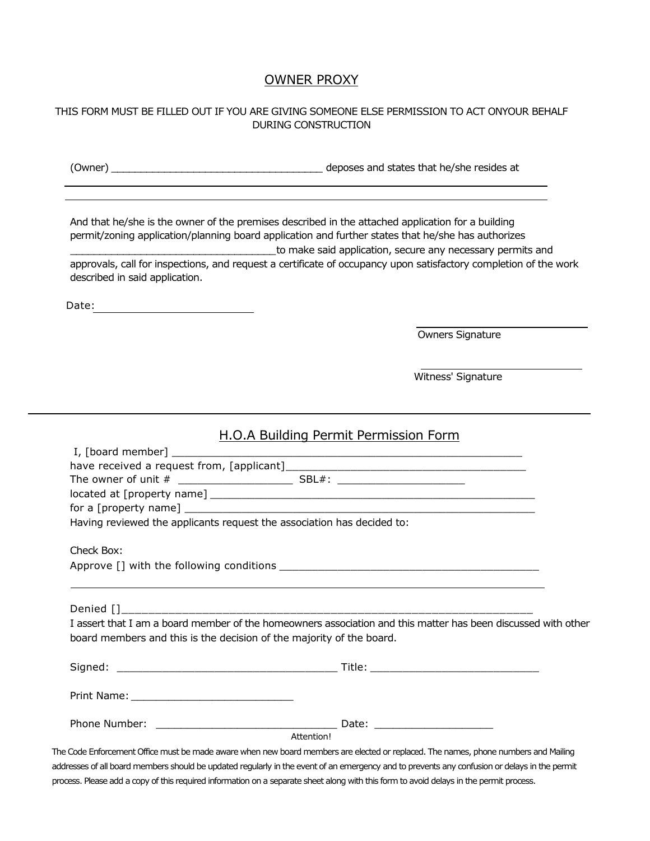### OWNER PROXY

#### THIS FORM MUST BE FILLED OUT IF YOU ARE GIVING SOMEONE ELSE PERMISSION TO ACT ONYOUR BEHALF DURING CONSTRUCTION

(Owner) \_\_\_\_\_\_\_\_\_\_\_\_\_\_\_\_\_\_\_\_\_\_\_\_\_\_\_\_\_\_\_\_\_\_\_\_ deposes and states that he/she resides at

And that he/she is the owner of the premises described in the attached application for a building permit/zoning application/planning board application and further states that he/she has authorizes \_\_\_\_\_\_\_\_\_\_\_\_\_\_\_\_\_\_\_\_\_\_\_\_\_\_\_\_\_\_\_\_\_\_\_to make said application, secure any necessary permits and approvals, call for inspections, and request a certificate of occupancy upon satisfactory completion of the work described in said application.

Date: when the contract of the contract of the contract of the contract of the contract of the contract of the contract of the contract of the contract of the contract of the contract of the contract of the contract of the

Owners Signature

Witness' Signature

## H.O.A Building Permit Permission Form

|                                                                      | Having reviewed the applicants request the association has decided to:                                                              |  |
|----------------------------------------------------------------------|-------------------------------------------------------------------------------------------------------------------------------------|--|
|                                                                      |                                                                                                                                     |  |
| Check Box:                                                           |                                                                                                                                     |  |
|                                                                      |                                                                                                                                     |  |
|                                                                      |                                                                                                                                     |  |
|                                                                      |                                                                                                                                     |  |
|                                                                      | I assert that I am a board member of the homeowners association and this matter has been discussed with other                       |  |
| board members and this is the decision of the majority of the board. |                                                                                                                                     |  |
|                                                                      |                                                                                                                                     |  |
|                                                                      |                                                                                                                                     |  |
|                                                                      |                                                                                                                                     |  |
|                                                                      |                                                                                                                                     |  |
|                                                                      |                                                                                                                                     |  |
|                                                                      | Attention!                                                                                                                          |  |
|                                                                      | The Code Enforcement Office must be made aware when new board members are elected or replaced. The names, phone numbers and Mailing |  |
|                                                                      |                                                                                                                                     |  |

addresses of all board members should be updated regularly in the event of an emergency and to prevents any confusion or delays in the permit process. Please add a copy of this required information on a separate sheet along with this form to avoid delays in the permit process.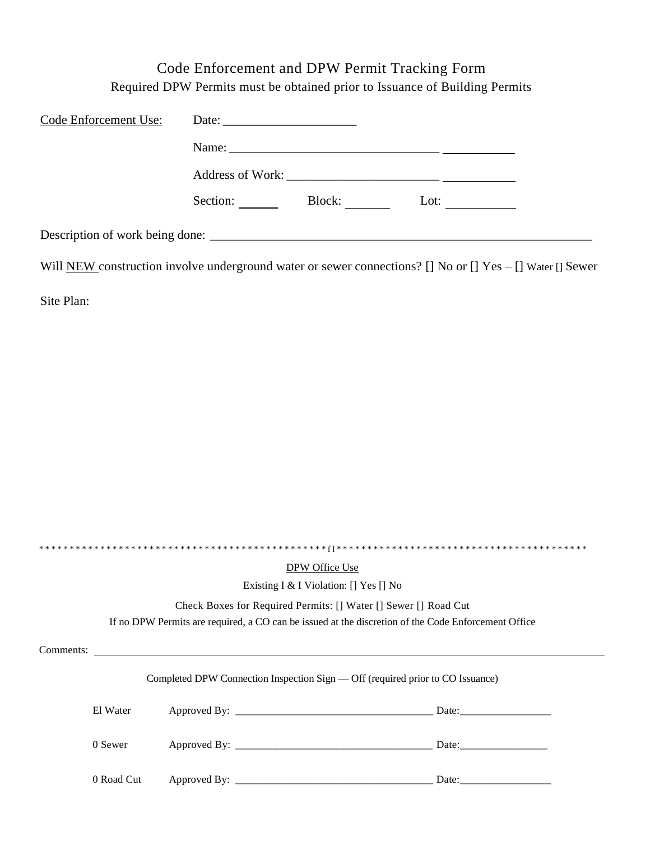## Code Enforcement and DPW Permit Tracking Form Required DPW Permits must be obtained prior to Issuance of Building Permits

| Code Enforcement Use: | Date: $\frac{1}{\sqrt{1-\frac{1}{2}} \cdot \frac{1}{2}}$                                                  |
|-----------------------|-----------------------------------------------------------------------------------------------------------|
|                       |                                                                                                           |
|                       |                                                                                                           |
|                       | Section:<br>Block:<br>Lot: $\qquad \qquad$                                                                |
|                       | Description of work being done:                                                                           |
|                       | Will NEW construction involve underground water or sewer connections? [] No or [] Yes – [] Water [] Sewer |
| Site Plan:            |                                                                                                           |

| DPW Office Use                                                                 |                                                                                                     |  |  |  |
|--------------------------------------------------------------------------------|-----------------------------------------------------------------------------------------------------|--|--|--|
|                                                                                | Existing I & I Violation: [] Yes [] No                                                              |  |  |  |
|                                                                                | Check Boxes for Required Permits: [] Water [] Sewer [] Road Cut                                     |  |  |  |
|                                                                                | If no DPW Permits are required, a CO can be issued at the discretion of the Code Enforcement Office |  |  |  |
| Comments:                                                                      |                                                                                                     |  |  |  |
| Completed DPW Connection Inspection Sign — Off (required prior to CO Issuance) |                                                                                                     |  |  |  |
|                                                                                | El Water                                                                                            |  |  |  |
|                                                                                | 0 Sewer                                                                                             |  |  |  |
|                                                                                | 0 Road Cut                                                                                          |  |  |  |
|                                                                                |                                                                                                     |  |  |  |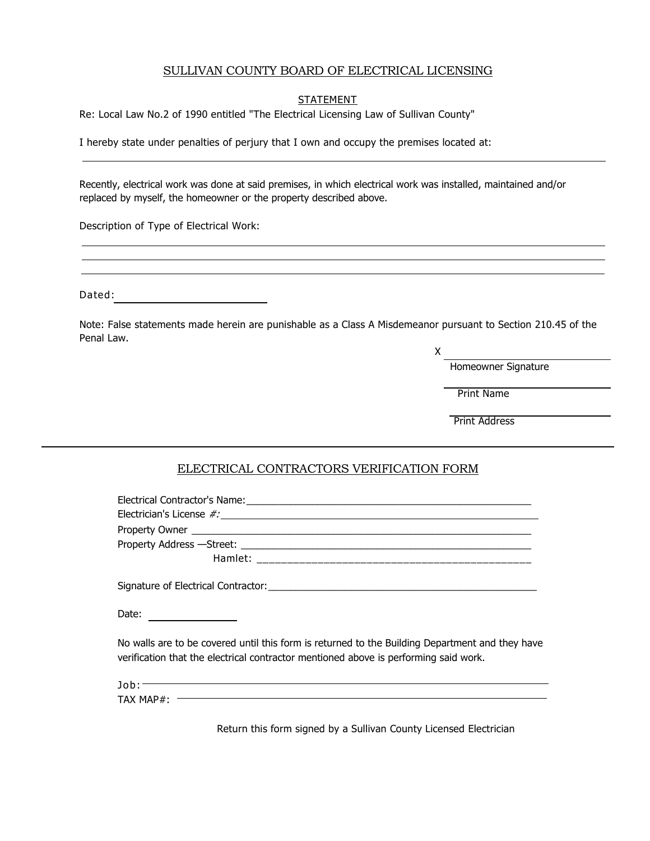#### SULLIVAN COUNTY BOARD OF ELECTRICAL LICENSING

#### **STATEMENT**

Re: Local Law No.2 of 1990 entitled "The Electrical Licensing Law of Sullivan County"

I hereby state under penalties of perjury that I own and occupy the premises located at:

Recently, electrical work was done at said premises, in which electrical work was installed, maintained and/or replaced by myself, the homeowner or the property described above.

Description of Type of Electrical Work:

| Dated: |  |
|--------|--|
|--------|--|

Note: False statements made herein are punishable as a Class A Misdemeanor pursuant to Section 210.45 of the Penal Law.

X

Homeowner Signature

Print Name

Print Address

#### ELECTRICAL CONTRACTORS VERIFICATION FORM

| Date:                                                                                                                                                                                                                                                                                                                                                                                                                                                                                                                                                                                                                                                                                                                                                                                                                                                                                                                                                                                              |
|----------------------------------------------------------------------------------------------------------------------------------------------------------------------------------------------------------------------------------------------------------------------------------------------------------------------------------------------------------------------------------------------------------------------------------------------------------------------------------------------------------------------------------------------------------------------------------------------------------------------------------------------------------------------------------------------------------------------------------------------------------------------------------------------------------------------------------------------------------------------------------------------------------------------------------------------------------------------------------------------------|
| No walls are to be covered until this form is returned to the Building Department and they have<br>verification that the electrical contractor mentioned above is performing said work.                                                                                                                                                                                                                                                                                                                                                                                                                                                                                                                                                                                                                                                                                                                                                                                                            |
| $\texttt{Job:} \quad \textcolor{red}{\overbrace{\text{Job:} \quad \textcolor{blue}{\text{10b:} \quad \textcolor{blue}{\text{10b:} \quad \textcolor{blue}{\text{10b:} \quad \textcolor{blue}{\text{10b:} \quad \textcolor{blue}{\text{10b:} \quad \textcolor{blue}{\text{10b:} \quad \textcolor{blue}{\text{10b:} \quad \textcolor{blue}{\text{10b:} \quad \textcolor{blue}{\text{10b:} \quad \textcolor{blue}{\text{10b:} \quad \textcolor{blue}{\text{10b:} \quad \textcolor{blue}{\text{10b:} \quad \text$<br>$\textsf{TAX MAP} \texttt{#:} \textcolor{red}{\overbrace{\hspace{15em}}\hspace{15em}}\hspace{15em} \textcolor{red}{\overbrace{\hspace{15em}}\hspace{15em}}\hspace{15em} \textcolor{red}{\overbrace{\hspace{15em}}\hspace{15em}}\hspace{15em} \textcolor{red}{\overbrace{\hspace{15em}}\hspace{15em}}\hspace{15em} \textcolor{red}{\overbrace{\hspace{15em}}\hspace{15em}}\hspace{15em} \textcolor{red}{\overbrace{\hspace{15em}}\hspace{15em}}\hspace{15em} \textcolor{red}{\over$ |

Return this form signed by a Sullivan County Licensed Electrician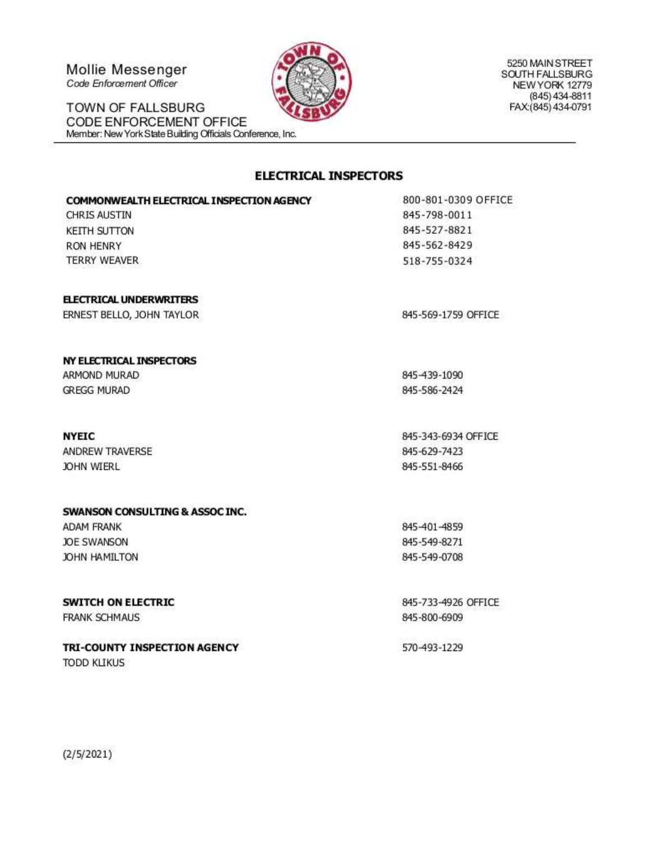Mollie Messenger Code Enforcement Officer

TOWN OF FALLSBURG CODE ENFORCEMENT OFFICE Member: New York State Building Officials Conference, Inc.

5250 MAIN STREET SOUTH FALLSBURG NEW YORK 12779 (845) 434-8811 FAX:(845) 434-0791

#### **ELECTRICAL INSPECTORS**

| COMMONWEALTH ELECTRICAL INSPECTION AGENCY | 800-801-0309 C |
|-------------------------------------------|----------------|
| CHRIS AUSTIN                              | 845-798-0011   |
| KEITH SUTTON                              | 845-527-8821   |
| RON HENRY                                 | 845-562-8429   |
| TERRY WEAVER                              | 518-755-0324   |
|                                           |                |

#### **ELECTRICAL UNDERWRITERS**

ERNEST BELLO, JOHN TAYLOR

#### NY ELECTRICAL INSPECTORS

ARMOND MURAD **GREGG MURAD** 

#### **NYEIC**

ANDREW TRAVERSE JOHN WIERL

#### **SWANSON CONSULTING & ASSOCINC.**

**ADAM FRANK JOE SWANSON** JOHN HAMILTON

## **SWITCH ON ELECTRIC**

**FRANK SCHMAUS** 

## TRI-COUNTY INSPECTION AGENCY

**TODD KLIKUS** 

**PFFICE** 

845-569-1759 OFFICE

845-439-1090 845-586-2424

845-343-6934 OFFICE 845-629-7423 845-551-8466

845-401-4859 845-549-8271 845-549-0708

845-733-4926 OFFICE 845-800-6909

570-493-1229

 $(2/5/2021)$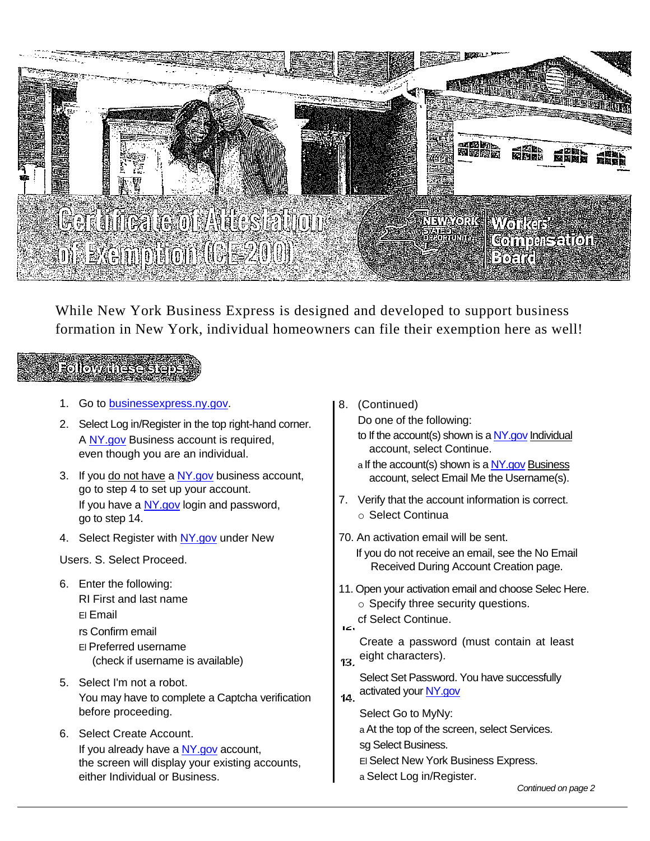

While New York Business Express is designed and developed to support business formation in New York, individual homeowners can file their exemption here as well!

# **Followanese**

- 1. Go to [businessexpress.ny.gov.](http://businessexpress.ny.gov/)
- 2. Select Log in/Register in the top right-hand corner. A [NY.gov](http://ny.gov/) Business account is required, even though you are an individual.
- 3. If you do not have a NY gov business account, go to step 4 to set up your account. If you have a  $NY.gov$  login and password, go to step 14.
- 4. Select Register with [NY.gov](http://ny.gov/) under New

Users. S. Select Proceed.

- 6. Enter the following: RI First and last name El Email rs Confirm email El Preferred username (check if username is available)
- 5. Select I'm not a robot. You may have to complete a Captcha verification before proceeding.
- 6. Select Create Account. If you already have a [NY.gov](http://ny.gov/) account, the screen will display your existing accounts, either Individual or Business.

8. (Continued)

Do one of the following:

- to If the account(s) shown is a  $NY$  gov Individual account, select Continue.
- a If the account(s) shown is [a NY.gov](http://ny.gov/) Business account, select Email Me the Username(s).
- 7. Verify that the account information is correct. o Select Continua
- 70. An activation email will be sent. If you do not receive an email, see the No Email Received During Account Creation page.
- 11. Open your activation email and choose Selec Here.
	- o Specify three security questions.
- cf Select Continue. iz.
- Create a password (must contain at least 13. eight characters).
- Select Set Password. You have successfully 14. activated you[r NY.gov](http://ny.gov/)
- - Select Go to MyNy:

a At the top of the screen, select Services.

- sg Select Business.
- El Select New York Business Express.
- a Select Log in/Register.

*Continued on page 2*